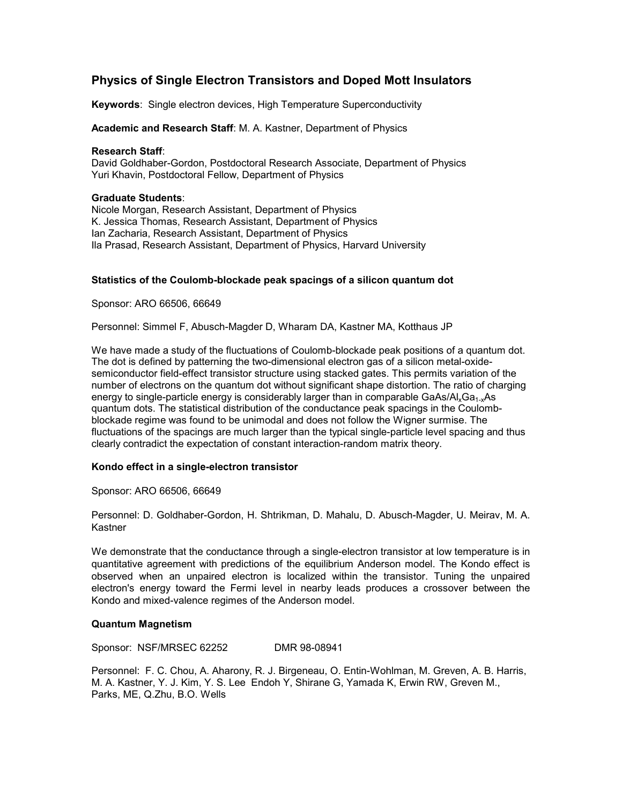# **Physics of Single Electron Transistors and Doped Mott Insulators**

**Keywords**: Single electron devices, High Temperature Superconductivity

**Academic and Research Staff**: M. A. Kastner, Department of Physics

#### **Research Staff**:

David Goldhaber-Gordon, Postdoctoral Research Associate, Department of Physics Yuri Khavin, Postdoctoral Fellow, Department of Physics

#### **Graduate Students**:

Nicole Morgan, Research Assistant, Department of Physics K. Jessica Thomas, Research Assistant, Department of Physics Ian Zacharia, Research Assistant, Department of Physics Ila Prasad, Research Assistant, Department of Physics, Harvard University

## **Statistics of the Coulomb-blockade peak spacings of a silicon quantum dot**

Sponsor: ARO 66506, 66649

Personnel: Simmel F, Abusch-Magder D, Wharam DA, Kastner MA, Kotthaus JP

We have made a study of the fluctuations of Coulomb-blockade peak positions of a quantum dot. The dot is defined by patterning the two-dimensional electron gas of a silicon metal-oxidesemiconductor field-effect transistor structure using stacked gates. This permits variation of the number of electrons on the quantum dot without significant shape distortion. The ratio of charging energy to single-particle energy is considerably larger than in comparable GaAs/ $A<sub>x</sub>Ga<sub>1-x</sub>As$ quantum dots. The statistical distribution of the conductance peak spacings in the Coulombblockade regime was found to be unimodal and does not follow the Wigner surmise. The fluctuations of the spacings are much larger than the typical single-particle level spacing and thus clearly contradict the expectation of constant interaction-random matrix theory.

## **Kondo effect in a single-electron transistor**

Sponsor: ARO 66506, 66649

Personnel: D. Goldhaber-Gordon, H. Shtrikman, D. Mahalu, D. Abusch-Magder, U. Meirav, M. A. Kastner

We demonstrate that the conductance through a single-electron transistor at low temperature is in quantitative agreement with predictions of the equilibrium Anderson model. The Kondo effect is observed when an unpaired electron is localized within the transistor. Tuning the unpaired electron's energy toward the Fermi level in nearby leads produces a crossover between the Kondo and mixed-valence regimes of the Anderson model.

## **Quantum Magnetism**

Sponsor: NSF/MRSEC 62252 DMR 98-08941

Personnel: F. C. Chou, A. Aharony, R. J. Birgeneau, O. Entin-Wohlman, M. Greven, A. B. Harris, M. A. Kastner, Y. J. Kim, Y. S. Lee Endoh Y, Shirane G, Yamada K, Erwin RW, Greven M., Parks, ME, Q.Zhu, B.O. Wells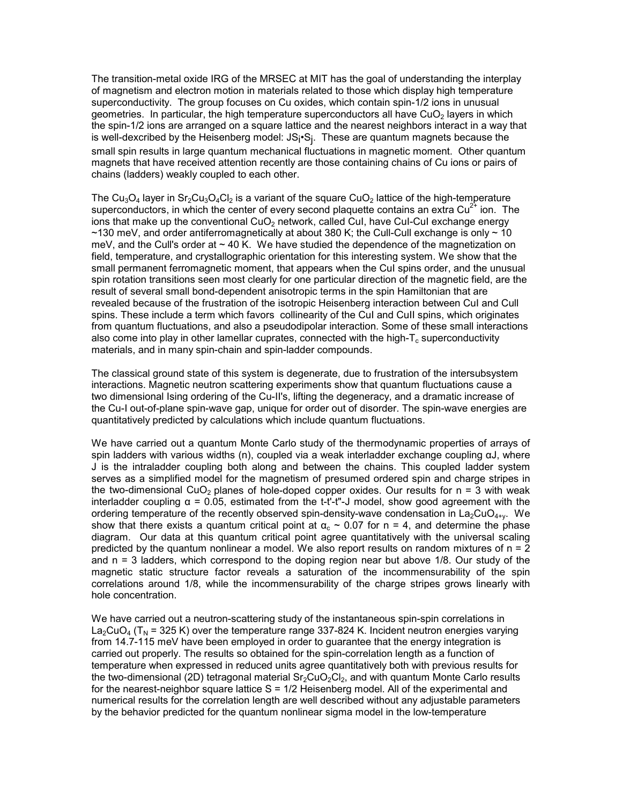The transition-metal oxide IRG of the MRSEC at MIT has the goal of understanding the interplay of magnetism and electron motion in materials related to those which display high temperature superconductivity. The group focuses on Cu oxides, which contain spin-1/2 ions in unusual geometries. In particular, the high temperature superconductors all have  $CuO<sub>2</sub>$  layers in which the spin-1/2 ions are arranged on a square lattice and the nearest neighbors interact in a way that is well-dexcribed by the Heisenberg model: JSi•S<sub>i</sub>. These are quantum magnets because the small spin results in large quantum mechanical fluctuations in magnetic moment. Other quantum magnets that have received attention recently are those containing chains of Cu ions or pairs of chains (ladders) weakly coupled to each other.

The Cu<sub>3</sub>O<sub>4</sub> layer in Sr<sub>2</sub>Cu<sub>3</sub>O<sub>4</sub>Cl<sub>2</sub> is a variant of the square CuO<sub>2</sub> lattice of the high-temperature superconductors, in which the center of every second plaquette contains an extra  $Cu<sup>2+</sup>$  ion. The ions that make up the conventional  $CuO<sub>2</sub>$  network, called CuI, have CuI-CuI exchange energy  $\sim$ 130 meV, and order antiferromagnetically at about 380 K; the Cull-Cull exchange is only  $\sim$  10 meV, and the Cull's order at  $\sim$  40 K. We have studied the dependence of the magnetization on field, temperature, and crystallographic orientation for this interesting system. We show that the small permanent ferromagnetic moment, that appears when the CuI spins order, and the unusual spin rotation transitions seen most clearly for one particular direction of the magnetic field, are the result of several small bond-dependent anisotropic terms in the spin Hamiltonian that are revealed because of the frustration of the isotropic Heisenberg interaction between CuI and Cull spins. These include a term which favors collinearity of the CuI and CuII spins, which originates from quantum fluctuations, and also a pseudodipolar interaction. Some of these small interactions also come into play in other lamellar cuprates, connected with the high-T<sub>c</sub> superconductivity materials, and in many spin-chain and spin-ladder compounds.

The classical ground state of this system is degenerate, due to frustration of the intersubsystem interactions. Magnetic neutron scattering experiments show that quantum fluctuations cause a two dimensional Ising ordering of the Cu-II's, lifting the degeneracy, and a dramatic increase of the Cu-I out-of-plane spin-wave gap, unique for order out of disorder. The spin-wave energies are quantitatively predicted by calculations which include quantum fluctuations.

We have carried out a quantum Monte Carlo study of the thermodynamic properties of arrays of spin ladders with various widths (n), coupled via a weak interladder exchange coupling αJ, where J is the intraladder coupling both along and between the chains. This coupled ladder system serves as a simplified model for the magnetism of presumed ordered spin and charge stripes in the two-dimensional CuO<sub>2</sub> planes of hole-doped copper oxides. Our results for  $n = 3$  with weak interladder coupling  $\alpha = 0.05$ , estimated from the t-t'-t"-J model, show good agreement with the ordering temperature of the recently observed spin-density-wave condensation in  $\text{La}_2\text{CuO}_{4+\text{v}}$ . We show that there exists a quantum critical point at  $\alpha_c \sim 0.07$  for n = 4, and determine the phase diagram. Our data at this quantum critical point agree quantitatively with the universal scaling predicted by the quantum nonlinear a model. We also report results on random mixtures of  $n = 2$ and n = 3 ladders, which correspond to the doping region near but above 1/8. Our study of the magnetic static structure factor reveals a saturation of the incommensurability of the spin correlations around 1/8, while the incommensurability of the charge stripes grows linearly with hole concentration.

We have carried out a neutron-scattering study of the instantaneous spin-spin correlations in La<sub>2</sub>CuO<sub>4</sub> (T<sub>N</sub> = 325 K) over the temperature range 337-824 K. Incident neutron energies varying from 14.7-115 meV have been employed in order to guarantee that the energy integration is carried out properly. The results so obtained for the spin-correlation length as a function of temperature when expressed in reduced units agree quantitatively both with previous results for the two-dimensional (2D) tetragonal material  $Sr<sub>2</sub>CuO<sub>2</sub>Cl<sub>2</sub>$ , and with quantum Monte Carlo results for the nearest-neighbor square lattice  $S = 1/2$  Heisenberg model. All of the experimental and numerical results for the correlation length are well described without any adjustable parameters by the behavior predicted for the quantum nonlinear sigma model in the low-temperature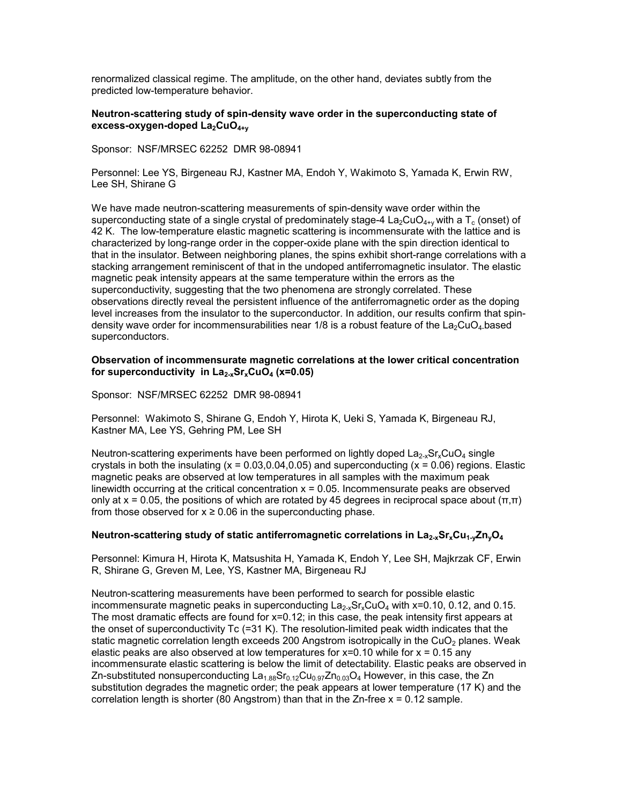renormalized classical regime. The amplitude, on the other hand, deviates subtly from the predicted low-temperature behavior.

## **Neutron-scattering study of spin-density wave order in the superconducting state of excess-oxygen-doped La<sub>2</sub>CuO<sub>4+v</sub>**

Sponsor: NSF/MRSEC 62252 DMR 98-08941

Personnel: Lee YS, Birgeneau RJ, Kastner MA, Endoh Y, Wakimoto S, Yamada K, Erwin RW, Lee SH, Shirane G

We have made neutron-scattering measurements of spin-density wave order within the superconducting state of a single crystal of predominately stage-4  $La_2CuO<sub>4+\nu</sub>$  with a T<sub>c</sub> (onset) of 42 K. The low-temperature elastic magnetic scattering is incommensurate with the lattice and is characterized by long-range order in the copper-oxide plane with the spin direction identical to that in the insulator. Between neighboring planes, the spins exhibit short-range correlations with a stacking arrangement reminiscent of that in the undoped antiferromagnetic insulator. The elastic magnetic peak intensity appears at the same temperature within the errors as the superconductivity, suggesting that the two phenomena are strongly correlated. These observations directly reveal the persistent influence of the antiferromagnetic order as the doping level increases from the insulator to the superconductor. In addition, our results confirm that spindensity wave order for incommensurabilities near  $1/8$  is a robust feature of the La<sub>2</sub>CuO<sub>4</sub> based superconductors.

#### **Observation of incommensurate magnetic correlations at the lower critical concentration**  for superconductivity in  $La_{2-x}Sr_xCuO_4$  (x=0.05)

Sponsor: NSF/MRSEC 62252 DMR 98-08941

Personnel: Wakimoto S, Shirane G, Endoh Y, Hirota K, Ueki S, Yamada K, Birgeneau RJ, Kastner MA, Lee YS, Gehring PM, Lee SH

Neutron-scattering experiments have been performed on lightly doped  $\text{La}_{2x}$ Sr<sub>x</sub>CuO<sub>4</sub> single crystals in both the insulating  $(x = 0.03, 0.04, 0.05)$  and superconducting  $(x = 0.06)$  regions. Elastic magnetic peaks are observed at low temperatures in all samples with the maximum peak linewidth occurring at the critical concentration  $x = 0.05$ . Incommensurate peaks are observed only at  $x = 0.05$ , the positions of which are rotated by 45 degrees in reciprocal space about (π, π) from those observed for  $x \ge 0.06$  in the superconducting phase.

## Neutron-scattering study of static antiferromagnetic correlations in La<sub>2-x</sub>Sr<sub>x</sub>Cu<sub>1-v</sub>Zn<sub>v</sub>O<sub>4</sub>

Personnel: Kimura H, Hirota K, Matsushita H, Yamada K, Endoh Y, Lee SH, Majkrzak CF, Erwin R, Shirane G, Greven M, Lee, YS, Kastner MA, Birgeneau RJ

Neutron-scattering measurements have been performed to search for possible elastic incommensurate magnetic peaks in superconducting  $La_{2x}Sr_{x}CuO_{4}$  with x=0.10, 0.12, and 0.15. The most dramatic effects are found for x=0.12; in this case, the peak intensity first appears at the onset of superconductivity Tc (=31 K). The resolution-limited peak width indicates that the static magnetic correlation length exceeds 200 Angstrom isotropically in the  $CuO<sub>2</sub>$  planes. Weak elastic peaks are also observed at low temperatures for  $x=0.10$  while for  $x = 0.15$  any incommensurate elastic scattering is below the limit of detectability. Elastic peaks are observed in Zn-substituted nonsuperconducting  $La<sub>1.88</sub>Sr<sub>0.12</sub>Cu<sub>0.97</sub>Zn<sub>0.03</sub>O<sub>4</sub>$  However, in this case, the Zn substitution degrades the magnetic order; the peak appears at lower temperature (17 K) and the correlation length is shorter (80 Angstrom) than that in the Zn-free  $x = 0.12$  sample.